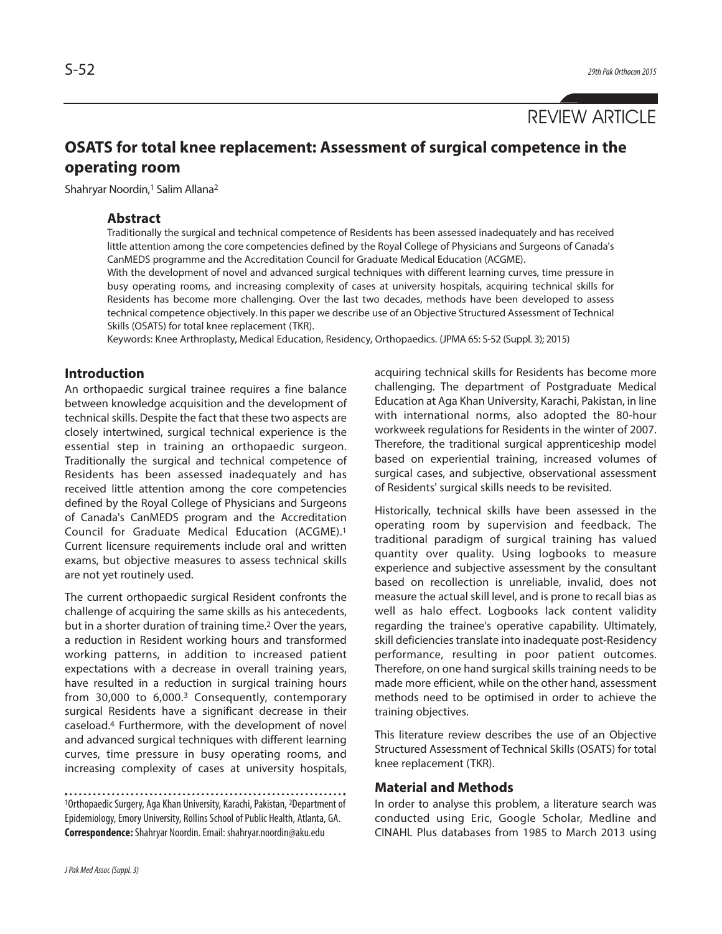# **OSATS for total knee replacement: Assessment of surgical competence in the operating room**

Shahryar Noordin,<sup>1</sup> Salim Allana<sup>2</sup>

### **Abstract**

Traditionally the surgical and technical competence of Residents has been assessed inadequately and has received little attention among the core competencies defined by the Royal College of Physicians and Surgeons of Canada's CanMEDS programme and the Accreditation Council for Graduate Medical Education (ACGME).

With the development of novel and advanced surgical techniques with different learning curves, time pressure in busy operating rooms, and increasing complexity of cases at university hospitals, acquiring technical skills for Residents has become more challenging. Over the last two decades, methods have been developed to assess technical competence objectively. In this paper we describe use of an Objective Structured Assessment of Technical Skills (OSATS) for total knee replacement (TKR).

Keywords: Knee Arthroplasty, Medical Education, Residency, Orthopaedics. (JPMA 65: S-52 (Suppl. 3); 2015)

# **Introduction**

An orthopaedic surgical trainee requires a fine balance between knowledge acquisition and the development of technical skills. Despite the fact that these two aspects are closely intertwined, surgical technical experience is the essential step in training an orthopaedic surgeon. Traditionally the surgical and technical competence of Residents has been assessed inadequately and has received little attention among the core competencies defined by the Royal College of Physicians and Surgeons of Canada's CanMEDS program and the Accreditation Council for Graduate Medical Education (ACGME). 1 Current licensure requirements include oral and written exams, but objective measures to assess technical skills are not yet routinely used.

The current orthopaedic surgical Resident confronts the challenge of acquiring the same skills as his antecedents, but in a shorter duration of training time. <sup>2</sup> Over the years, a reduction in Resident working hours and transformed working patterns, in addition to increased patient expectations with a decrease in overall training years, have resulted in a reduction in surgical training hours from 30,000 to 6,000.<sup>3</sup> Consequently, contemporary surgical Residents have a significant decrease in their caseload. <sup>4</sup> Furthermore, with the development of novel and advanced surgical techniques with different learning curves, time pressure in busy operating rooms, and increasing complexity of cases at university hospitals,

<sup>1</sup>Orthopaedic Surgery, Aga Khan University, Karachi, Pakistan, <sup>2</sup>Department of Epidemiology, Emory University, Rollins School of Public Health, Atlanta, GA. **Correspondence:**Shahryar Noordin.Email: shahryar.noordin@aku.edu

acquiring technical skills for Residents has become more challenging. The department of Postgraduate Medical Education at Aga Khan University, Karachi, Pakistan, in line with international norms, also adopted the 80-hour workweek regulations for Residents in the winter of 2007. Therefore, the traditional surgical apprenticeship model based on experiential training, increased volumes of surgical cases, and subjective, observational assessment of Residents' surgical skills needs to be revisited.

Historically, technical skills have been assessed in the operating room by supervision and feedback. The traditional paradigm of surgical training has valued quantity over quality. Using logbooks to measure experience and subjective assessment by the consultant based on recollection is unreliable, invalid, does not measure the actual skill level, and is prone to recall bias as well as halo effect. Logbooks lack content validity regarding the trainee's operative capability. Ultimately, skill deficiencies translate into inadequate post-Residency performance, resulting in poor patient outcomes. Therefore, on one hand surgical skills training needs to be made more efficient, while on the other hand, assessment methods need to be optimised in order to achieve the training objectives.

This literature review describes the use of an Objective Structured Assessment of Technical Skills (OSATS) for total knee replacement (TKR).

#### **Material and Methods**

In order to analyse this problem, a literature search was conducted using Eric, Google Scholar, Medline and CINAHL Plus databases from 1985 to March 2013 using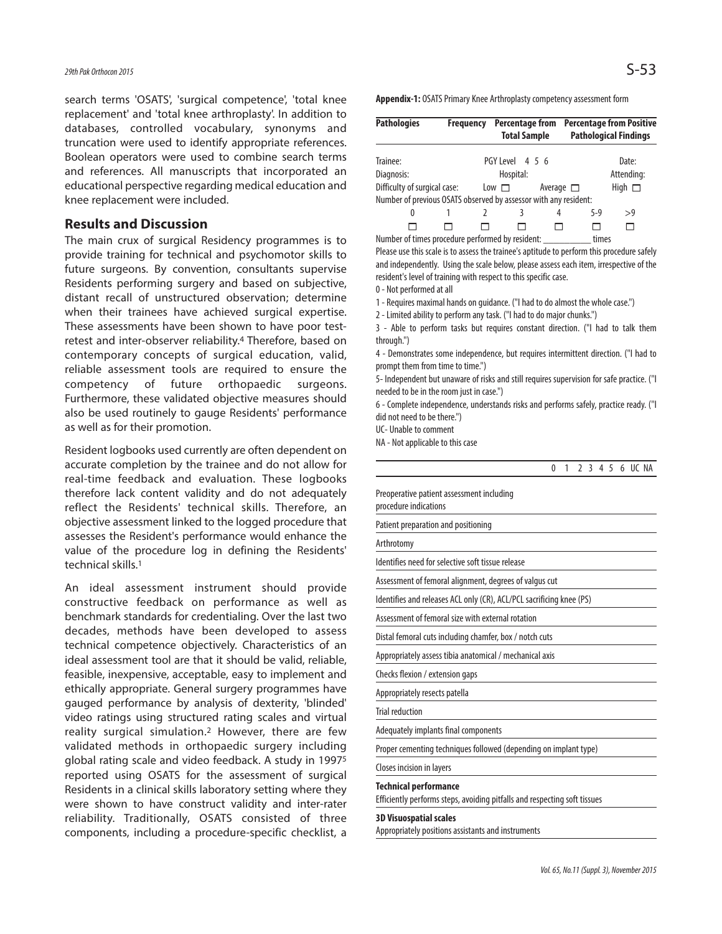search terms 'OSATS', 'surgical competence', 'total knee replacement' and 'total knee arthroplasty'. In addition to databases, controlled vocabulary, synonyms and truncation were used to identify appropriate references. Boolean operators were used to combine search terms and references. All manuscripts that incorporated an educational perspective regarding medical education and knee replacement were included.

#### **Results and Discussion**

The main crux of surgical Residency programmes is to provide training for technical and psychomotor skills to future surgeons. By convention, consultants supervise Residents performing surgery and based on subjective, distant recall of unstructured observation; determine when their trainees have achieved surgical expertise. These assessments have been shown to have poor testretest and inter-observer reliability. <sup>4</sup> Therefore, based on contemporary concepts of surgical education, valid, reliable assessment tools are required to ensure the competency of future orthopaedic surgeons. Furthermore, these validated objective measures should also be used routinely to gauge Residents' performance as well as for their promotion.

Resident logbooks used currently are often dependent on accurate completion by the trainee and do not allow for real-time feedback and evaluation. These logbooks therefore lack content validity and do not adequately reflect the Residents' technical skills. Therefore, an objective assessment linked to the logged procedure that assesses the Resident's performance would enhance the value of the procedure log in defining the Residents' technical skills. 1

An ideal assessment instrument should provide constructive feedback on performance as well as benchmark standards for credentialing. Over the last two decades, methods have been developed to assess technical competence objectively. Characteristics of an ideal assessment tool are that it should be valid, reliable, feasible, inexpensive, acceptable, easy to implement and ethically appropriate. General surgery programmes have gauged performance by analysis of dexterity, 'blinded' video ratings using structured rating scales and virtual reality surgical simulation. <sup>2</sup> However, there are few validated methods in orthopaedic surgery including global rating scale and video feedback. A study in 19975 reported using OSATS for the assessment of surgical Residents in a clinical skills laboratory setting where they were shown to have construct validity and inter-rater reliability. Traditionally, OSATS consisted of three components, including a procedure-specific checklist, a Appendix-1: OSATS Primary Knee Arthroplasty competency assessment form

| <b>Pathologies</b>                                               | <b>Frequency</b>      | Percentage from | <b>Total Sample</b> |   |       | <b>Percentage from Positive</b><br><b>Pathological Findings</b> |  |  |
|------------------------------------------------------------------|-----------------------|-----------------|---------------------|---|-------|-----------------------------------------------------------------|--|--|
| Trainee:                                                         |                       | PGY Level 4 5 6 |                     |   |       | Date:                                                           |  |  |
| Diagnosis:                                                       |                       | Hospital:       |                     |   |       |                                                                 |  |  |
| Difficulty of surgical case:                                     | $Low \nightharpoonup$ | Average $\Box$  | High $\Box$         |   |       |                                                                 |  |  |
| Number of previous OSATS observed by assessor with any resident: |                       |                 |                     |   |       |                                                                 |  |  |
| $^{0}$                                                           | 7                     |                 |                     | 4 | $5-9$ | >9                                                              |  |  |
|                                                                  |                       |                 |                     |   |       | ⊓                                                               |  |  |
| Number of times procedure performed by resident:                 | times                 |                 |                     |   |       |                                                                 |  |  |

Please use this scale is to assess the trainee's aptitude to perform this procedure safely and independently. Using the scale below, please assess each item, irrespective of the resident's level of training with respect to this specific case.

0 - Not performed at all

1 - Requires maximal hands on quidance. ("I had to do almost the whole case.")

2 - Limited ability to perform any task. ("I had to do major chunks.")

3 - Able to perform tasks but requires constant direction. ("I had to talk them through.")

4 - Demonstrates some independence, but requires intermittent direction. ("I had to prompt them from time to time.")

5- Independent but unaware of risks and still requires supervision for safe practice. ("I needed to be in the room just in case.")

6 - Complete independence, understands risks and performs safely, practice ready. ("I did not need to be there.")

UC- Unable to comment

NA - Not applicable to this case

|                                                                                                           | $\Omega$ | 1 | $\mathfrak{I}$ | 3 | $4\overline{5}$ | 6 UC NA |  |
|-----------------------------------------------------------------------------------------------------------|----------|---|----------------|---|-----------------|---------|--|
| Preoperative patient assessment including<br>procedure indications                                        |          |   |                |   |                 |         |  |
| Patient preparation and positioning                                                                       |          |   |                |   |                 |         |  |
| Arthrotomy                                                                                                |          |   |                |   |                 |         |  |
| Identifies need for selective soft tissue release                                                         |          |   |                |   |                 |         |  |
| Assessment of femoral alignment, degrees of valgus cut                                                    |          |   |                |   |                 |         |  |
| Identifies and releases ACL only (CR), ACL/PCL sacrificing knee (PS)                                      |          |   |                |   |                 |         |  |
| Assessment of femoral size with external rotation                                                         |          |   |                |   |                 |         |  |
| Distal femoral cuts including chamfer, box / notch cuts                                                   |          |   |                |   |                 |         |  |
| Appropriately assess tibia anatomical / mechanical axis                                                   |          |   |                |   |                 |         |  |
| Checks flexion / extension gaps                                                                           |          |   |                |   |                 |         |  |
| Appropriately resects patella                                                                             |          |   |                |   |                 |         |  |
| <b>Trial reduction</b>                                                                                    |          |   |                |   |                 |         |  |
| Adequately implants final components                                                                      |          |   |                |   |                 |         |  |
| Proper cementing techniques followed (depending on implant type)                                          |          |   |                |   |                 |         |  |
| Closes incision in layers                                                                                 |          |   |                |   |                 |         |  |
| <b>Technical performance</b><br>Efficiently performs steps, avoiding pitfalls and respecting soft tissues |          |   |                |   |                 |         |  |
| <b>3D Visuospatial scales</b>                                                                             |          |   |                |   |                 |         |  |

Appropriately positions assistants and instruments